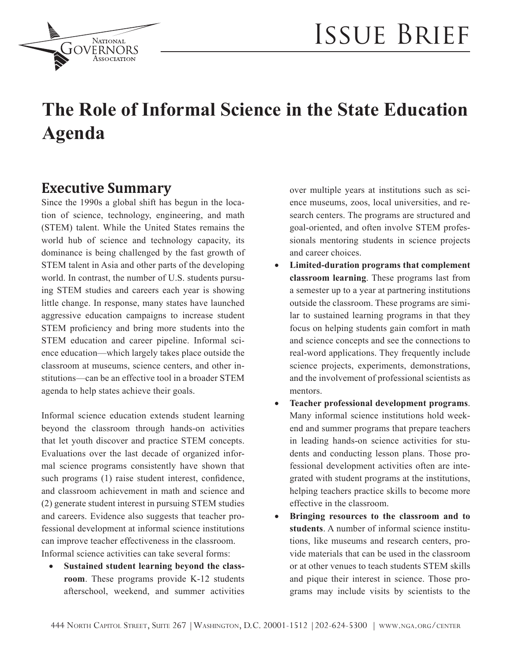

# **The Role of Informal Science in the State Education Agenda**

### **Executive Summary**

**NATIONAL** GOVERNORS

Since the 1990s a global shift has begun in the location of science, technology, engineering, and math (STEM) talent. While the United States remains the world hub of science and technology capacity, its dominance is being challenged by the fast growth of STEM talent in Asia and other parts of the developing world. In contrast, the number of U.S. students pursuing STEM studies and careers each year is showing little change. In response, many states have launched aggressive education campaigns to increase student STEM proficiency and bring more students into the STEM education and career pipeline. Informal science education—which largely takes place outside the classroom at museums, science centers, and other institutions—can be an effective tool in a broader STEM agenda to help states achieve their goals.

Informal science education extends student learning beyond the classroom through hands-on activities that let youth discover and practice STEM concepts. Evaluations over the last decade of organized informal science programs consistently have shown that such programs (1) raise student interest, confidence, and classroom achievement in math and science and (2) generate student interest in pursuing STEM studies and careers. Evidence also suggests that teacher professional development at informal science institutions can improve teacher effectiveness in the classroom. Informal science activities can take several forms:

• **Sustained student learning beyond the classroom**. These programs provide K-12 students afterschool, weekend, and summer activities

over multiple years at institutions such as science museums, zoos, local universities, and research centers. The programs are structured and goal-oriented, and often involve STEM professionals mentoring students in science projects and career choices.

- Limited-duration programs that complement **classroom learning**. These programs last from a semester up to a year at partnering institutions outside the classroom. These programs are similar to sustained learning programs in that they focus on helping students gain comfort in math and science concepts and see the connections to real-word applications. They frequently include science projects, experiments, demonstrations, and the involvement of professional scientists as mentors.
- • **Teacher professional development programs**. Many informal science institutions hold weekend and summer programs that prepare teachers in leading hands-on science activities for students and conducting lesson plans. Those professional development activities often are integrated with student programs at the institutions, helping teachers practice skills to become more effective in the classroom.
- **Bringing resources to the classroom and to students**. A number of informal science institutions, like museums and research centers, provide materials that can be used in the classroom or at other venues to teach students STEM skills and pique their interest in science. Those programs may include visits by scientists to the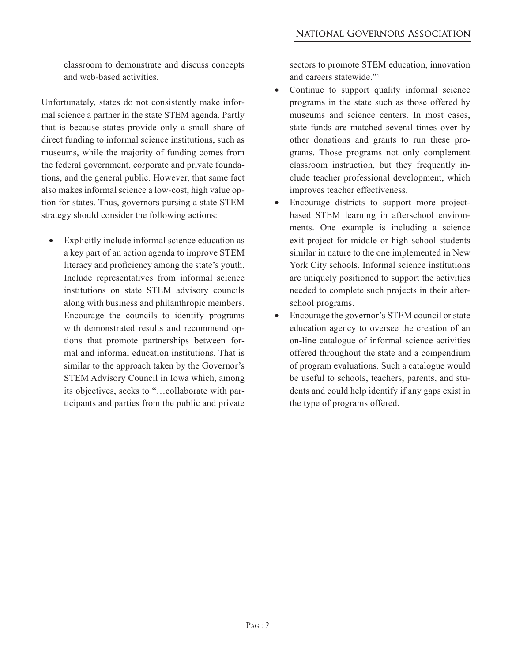classroom to demonstrate and discuss concepts and web-based activities.

Unfortunately, states do not consistently make informal science a partner in the state STEM agenda. Partly that is because states provide only a small share of direct funding to informal science institutions, such as museums, while the majority of funding comes from the federal government, corporate and private foundations, and the general public. However, that same fact also makes informal science a low-cost, high value option for states. Thus, governors pursing a state STEM strategy should consider the following actions:

Explicitly include informal science education as a key part of an action agenda to improve STEM literacy and proficiency among the state's youth. Include representatives from informal science institutions on state STEM advisory councils along with business and philanthropic members. Encourage the councils to identify programs with demonstrated results and recommend options that promote partnerships between formal and informal education institutions. That is similar to the approach taken by the Governor's STEM Advisory Council in Iowa which, among its objectives, seeks to "…collaborate with participants and parties from the public and private sectors to promote STEM education, innovation and careers statewide."<sup>1</sup>

- Continue to support quality informal science programs in the state such as those offered by museums and science centers. In most cases, state funds are matched several times over by other donations and grants to run these programs. Those programs not only complement classroom instruction, but they frequently include teacher professional development, which improves teacher effectiveness.
- Encourage districts to support more projectbased STEM learning in afterschool environments. One example is including a science exit project for middle or high school students similar in nature to the one implemented in New York City schools. Informal science institutions are uniquely positioned to support the activities needed to complete such projects in their afterschool programs.
- Encourage the governor's STEM council or state education agency to oversee the creation of an on-line catalogue of informal science activities offered throughout the state and a compendium of program evaluations. Such a catalogue would be useful to schools, teachers, parents, and students and could help identify if any gaps exist in the type of programs offered.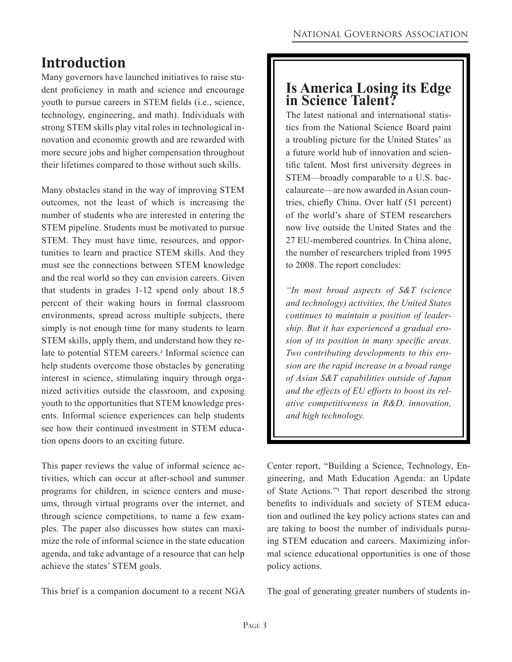### **Introduction**

Many governors have launched initiatives to raise student proficiency in math and science and encourage youth to pursue careers in STEM fields (i.e., science, technology, engineering, and math). Individuals with strong STEM skills play vital roles in technological innovation and economic growth and are rewarded with more secure jobs and higher compensation throughout their lifetimes compared to those without such skills.

Many obstacles stand in the way of improving STEM outcomes, not the least of which is increasing the number of students who are interested in entering the STEM pipeline. Students must be motivated to pursue STEM. They must have time, resources, and opportunities to learn and practice STEM skills. And they must see the connections between STEM knowledge and the real world so they can envision careers. Given that students in grades 1-12 spend only about 18.5 percent of their waking hours in formal classroom environments, spread across multiple subjects, there simply is not enough time for many students to learn STEM skills, apply them, and understand how they relate to potential STEM careers.<sup>2</sup> Informal science can help students overcome those obstacles by generating interest in science, stimulating inquiry through organized activities outside the classroom, and exposing youth to the opportunities that STEM knowledge presents. Informal science experiences can help students see how their continued investment in STEM education opens doors to an exciting future.

This paper reviews the value of informal science activities, which can occur at after-school and summer programs for children, in science centers and museums, through virtual programs over the internet, and through science competitions, to name a few examples. The paper also discusses how states can maximize the role of informal science in the state education agenda, and take advantage of a resource that can help achieve the states' STEM goals.

This brief is a companion document to a recent NGA

#### **Is America Losing its Edge in Science Talent?**

The latest national and international statistics from the National Science Board paint a troubling picture for the United States' as a future world hub of innovation and scientific talent. Most first university degrees in STEM—broadly comparable to a U.S. baccalaureate—are now awarded in Asian countries, chiefly China. Over half (51 percent) of the world's share of STEM researchers now live outside the United States and the 27 EU-membered countries. In China alone, the number of researchers tripled from 1995 to 2008. The report concludes:

*"In most broad aspects of S&T (science and technology) activities, the United States continues to maintain a position of leadership. But it has experienced a gradual erosion of its position in many specific areas. Two contributing developments to this erosion are the rapid increase in a broad range of Asian S&T capabilities outside of Japan and the effects of EU efforts to boost its relative competitiveness in R&D, innovation, and high technology.*

Center report, "Building a Science, Technology, Engineering, and Math Education Agenda: an Update of State Actions."<sup>3</sup> That report described the strong benefits to individuals and society of STEM education and outlined the key policy actions states can and are taking to boost the number of individuals pursuing STEM education and careers. Maximizing informal science educational opportunities is one of those policy actions.

The goal of generating greater numbers of students in-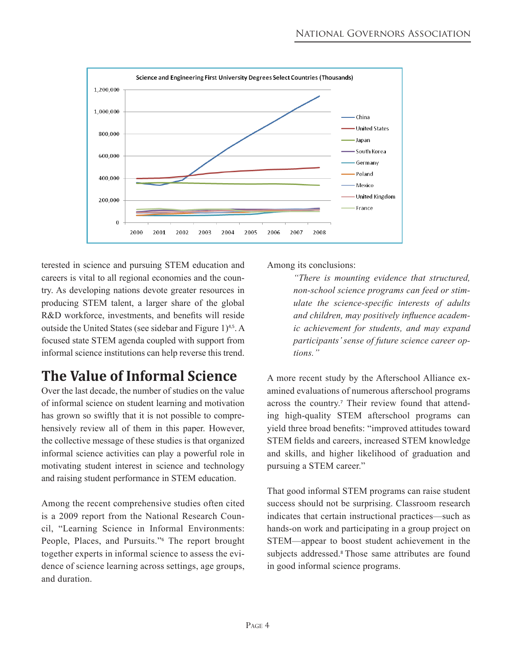

terested in science and pursuing STEM education and careers is vital to all regional economies and the country. As developing nations devote greater resources in producing STEM talent, a larger share of the global R&D workforce, investments, and benefits will reside outside the United States (see sidebar and Figure 1)<sup>4,5</sup>. A focused state STEM agenda coupled with support from informal science institutions can help reverse this trend.

# **The Value of Informal Science**

Over the last decade, the number of studies on the value of informal science on student learning and motivation has grown so swiftly that it is not possible to comprehensively review all of them in this paper. However, the collective message of these studies is that organized informal science activities can play a powerful role in motivating student interest in science and technology and raising student performance in STEM education.

Among the recent comprehensive studies often cited is a 2009 report from the National Research Council, "Learning Science in Informal Environments: People, Places, and Pursuits."<sup>6</sup> The report brought together experts in informal science to assess the evidence of science learning across settings, age groups, and duration.

Among its conclusions:

*"There is mounting evidence that structured, non-school science programs can feed or stimulate the science-specific interests of adults and children, may positively influence academic achievement for students, and may expand participants' sense of future science career options."*

A more recent study by the Afterschool Alliance examined evaluations of numerous afterschool programs across the country.<sup>7</sup> Their review found that attending high-quality STEM afterschool programs can yield three broad benefits: "improved attitudes toward STEM fields and careers, increased STEM knowledge and skills, and higher likelihood of graduation and pursuing a STEM career."

That good informal STEM programs can raise student success should not be surprising. Classroom research indicates that certain instructional practices—such as hands-on work and participating in a group project on STEM—appear to boost student achievement in the subjects addressed.<sup>8</sup> Those same attributes are found in good informal science programs.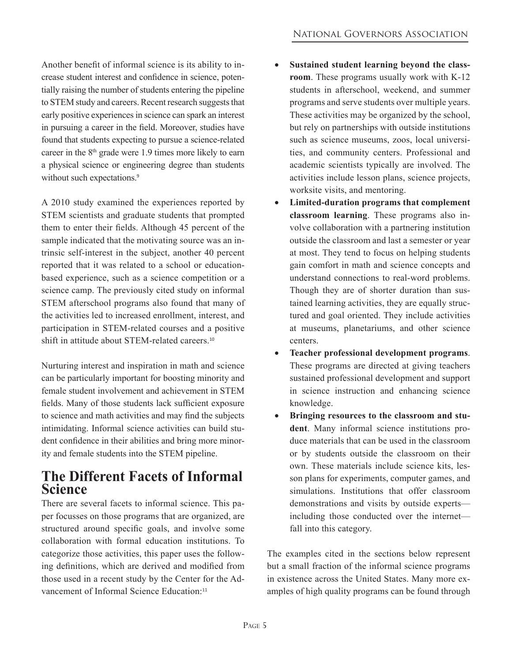Another benefit of informal science is its ability to increase student interest and confidence in science, potentially raising the number of students entering the pipeline to STEM study and careers. Recent research suggests that early positive experiences in science can spark an interest in pursuing a career in the field. Moreover, studies have found that students expecting to pursue a science-related career in the  $8<sup>th</sup>$  grade were 1.9 times more likely to earn a physical science or engineering degree than students without such expectations.<sup>9</sup>

A 2010 study examined the experiences reported by STEM scientists and graduate students that prompted them to enter their fields. Although 45 percent of the sample indicated that the motivating source was an intrinsic self-interest in the subject, another 40 percent reported that it was related to a school or educationbased experience, such as a science competition or a science camp. The previously cited study on informal STEM afterschool programs also found that many of the activities led to increased enrollment, interest, and participation in STEM-related courses and a positive shift in attitude about STEM-related careers.<sup>10</sup>

Nurturing interest and inspiration in math and science can be particularly important for boosting minority and female student involvement and achievement in STEM fields. Many of those students lack sufficient exposure to science and math activities and may find the subjects intimidating. Informal science activities can build student confidence in their abilities and bring more minority and female students into the STEM pipeline.

#### **The Different Facets of Informal Science**

There are several facets to informal science. This paper focusses on those programs that are organized, are structured around specific goals, and involve some collaboration with formal education institutions. To categorize those activities, this paper uses the following definitions, which are derived and modified from those used in a recent study by the Center for the Advancement of Informal Science Education:<sup>11</sup>

- • **Sustained student learning beyond the classroom**. These programs usually work with K-12 students in afterschool, weekend, and summer programs and serve students over multiple years. These activities may be organized by the school, but rely on partnerships with outside institutions such as science museums, zoos, local universities, and community centers. Professional and academic scientists typically are involved. The activities include lesson plans, science projects, worksite visits, and mentoring.
- • **Limited-duration programs that complement classroom learning**. These programs also involve collaboration with a partnering institution outside the classroom and last a semester or year at most. They tend to focus on helping students gain comfort in math and science concepts and understand connections to real-word problems. Though they are of shorter duration than sustained learning activities, they are equally structured and goal oriented. They include activities at museums, planetariums, and other science centers.
- • **Teacher professional development programs**. These programs are directed at giving teachers sustained professional development and support in science instruction and enhancing science knowledge.
- **Bringing resources to the classroom and student**. Many informal science institutions produce materials that can be used in the classroom or by students outside the classroom on their own. These materials include science kits, lesson plans for experiments, computer games, and simulations. Institutions that offer classroom demonstrations and visits by outside experts including those conducted over the internet fall into this category.

The examples cited in the sections below represent but a small fraction of the informal science programs in existence across the United States. Many more examples of high quality programs can be found through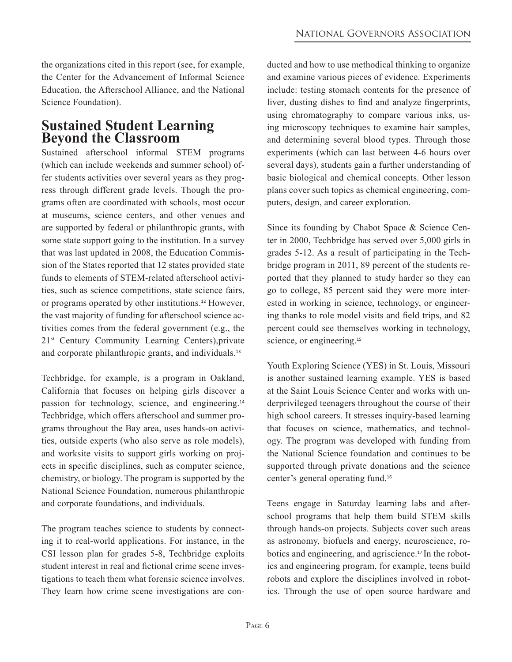the organizations cited in this report (see, for example, the Center for the Advancement of Informal Science Education, the Afterschool Alliance, and the National Science Foundation).

#### **Sustained Student Learning Beyond the Classroom**

Sustained afterschool informal STEM programs (which can include weekends and summer school) offer students activities over several years as they progress through different grade levels. Though the programs often are coordinated with schools, most occur at museums, science centers, and other venues and are supported by federal or philanthropic grants, with some state support going to the institution. In a survey that was last updated in 2008, the Education Commission of the States reported that 12 states provided state funds to elements of STEM-related afterschool activities, such as science competitions, state science fairs, or programs operated by other institutions.12 However, the vast majority of funding for afterschool science activities comes from the federal government (e.g., the 21st Century Community Learning Centers),private and corporate philanthropic grants, and individuals.<sup>13</sup>

Techbridge, for example, is a program in Oakland, California that focuses on helping girls discover a passion for technology, science, and engineering.<sup>14</sup> Techbridge, which offers afterschool and summer programs throughout the Bay area, uses hands-on activities, outside experts (who also serve as role models), and worksite visits to support girls working on projects in specific disciplines, such as computer science, chemistry, or biology. The program is supported by the National Science Foundation, numerous philanthropic and corporate foundations, and individuals.

The program teaches science to students by connecting it to real-world applications. For instance, in the CSI lesson plan for grades 5-8, Techbridge exploits student interest in real and fictional crime scene investigations to teach them what forensic science involves. They learn how crime scene investigations are con-

ducted and how to use methodical thinking to organize and examine various pieces of evidence. Experiments include: testing stomach contents for the presence of liver, dusting dishes to find and analyze fingerprints, using chromatography to compare various inks, using microscopy techniques to examine hair samples, and determining several blood types. Through those experiments (which can last between 4-6 hours over several days), students gain a further understanding of basic biological and chemical concepts. Other lesson plans cover such topics as chemical engineering, computers, design, and career exploration.

Since its founding by Chabot Space & Science Center in 2000, Techbridge has served over 5,000 girls in grades 5-12. As a result of participating in the Techbridge program in 2011, 89 percent of the students reported that they planned to study harder so they can go to college, 85 percent said they were more interested in working in science, technology, or engineering thanks to role model visits and field trips, and 82 percent could see themselves working in technology, science, or engineering.<sup>15</sup>

Youth Exploring Science (YES) in St. Louis, Missouri is another sustained learning example. YES is based at the Saint Louis Science Center and works with underprivileged teenagers throughout the course of their high school careers. It stresses inquiry-based learning that focuses on science, mathematics, and technology. The program was developed with funding from the National Science foundation and continues to be supported through private donations and the science center's general operating fund.<sup>16</sup>

Teens engage in Saturday learning labs and afterschool programs that help them build STEM skills through hands-on projects. Subjects cover such areas as astronomy, biofuels and energy, neuroscience, robotics and engineering, and agriscience.17 In the robotics and engineering program, for example, teens build robots and explore the disciplines involved in robotics. Through the use of open source hardware and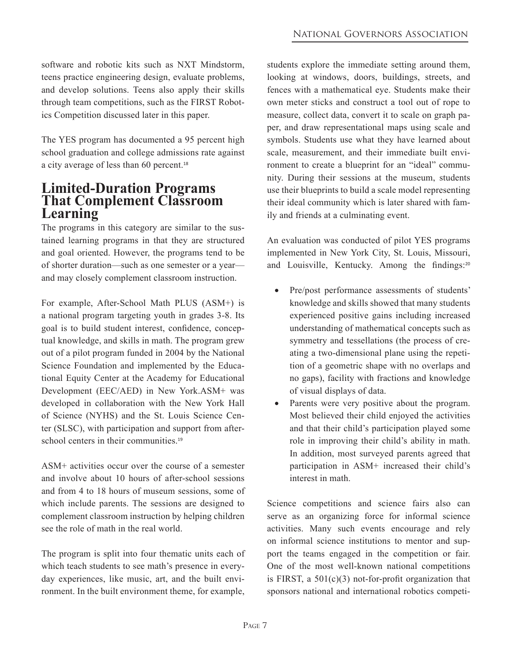software and robotic kits such as NXT Mindstorm, teens practice engineering design, evaluate problems, and develop solutions. Teens also apply their skills through team competitions, such as the FIRST Robotics Competition discussed later in this paper.

The YES program has documented a 95 percent high school graduation and college admissions rate against a city average of less than 60 percent.<sup>18</sup>

#### **Limited-Duration Programs That Complement Classroom Learning**

The programs in this category are similar to the sustained learning programs in that they are structured and goal oriented. However, the programs tend to be of shorter duration—such as one semester or a year and may closely complement classroom instruction.

For example, After-School Math PLUS (ASM+) is a national program targeting youth in grades 3-8. Its goal is to build student interest, confidence, conceptual knowledge, and skills in math. The program grew out of a pilot program funded in 2004 by the National Science Foundation and implemented by the Educational Equity Center at the Academy for Educational Development (EEC/AED) in New York.ASM+ was developed in collaboration with the New York Hall of Science (NYHS) and the St. Louis Science Center (SLSC), with participation and support from afterschool centers in their communities.<sup>19</sup>

ASM+ activities occur over the course of a semester and involve about 10 hours of after-school sessions and from 4 to 18 hours of museum sessions, some of which include parents. The sessions are designed to complement classroom instruction by helping children see the role of math in the real world.

The program is split into four thematic units each of which teach students to see math's presence in everyday experiences, like music, art, and the built environment. In the built environment theme, for example, students explore the immediate setting around them, looking at windows, doors, buildings, streets, and fences with a mathematical eye. Students make their own meter sticks and construct a tool out of rope to measure, collect data, convert it to scale on graph paper, and draw representational maps using scale and symbols. Students use what they have learned about scale, measurement, and their immediate built environment to create a blueprint for an "ideal" community. During their sessions at the museum, students use their blueprints to build a scale model representing their ideal community which is later shared with family and friends at a culminating event.

An evaluation was conducted of pilot YES programs implemented in New York City, St. Louis, Missouri, and Louisville, Kentucky. Among the findings:<sup>20</sup>

- Pre/post performance assessments of students' knowledge and skills showed that many students experienced positive gains including increased understanding of mathematical concepts such as symmetry and tessellations (the process of creating a two-dimensional plane using the repetition of a geometric shape with no overlaps and no gaps), facility with fractions and knowledge of visual displays of data.
- Parents were very positive about the program. Most believed their child enjoyed the activities and that their child's participation played some role in improving their child's ability in math. In addition, most surveyed parents agreed that participation in ASM+ increased their child's interest in math.

Science competitions and science fairs also can serve as an organizing force for informal science activities. Many such events encourage and rely on informal science institutions to mentor and support the teams engaged in the competition or fair. One of the most well-known national competitions is FIRST, a  $501(c)(3)$  not-for-profit organization that sponsors national and international robotics competi-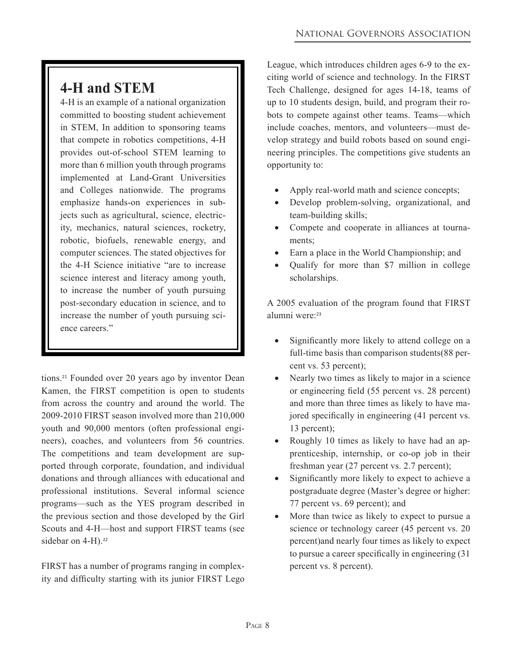# **4-H and STEM**

4-H is an example of a national organization committed to boosting student achievement in STEM, In addition to sponsoring teams that compete in robotics competitions, 4-H provides out-of-school STEM learning to more than 6 million youth through programs implemented at Land-Grant Universities and Colleges nationwide. The programs emphasize hands-on experiences in subjects such as agricultural, science, electricity, mechanics, natural sciences, rocketry, robotic, biofuels, renewable energy, and computer sciences. The stated objectives for the 4-H Science initiative "are to increase science interest and literacy among youth, to increase the number of youth pursuing post-secondary education in science, and to increase the number of youth pursuing science careers."

tions.21 Founded over 20 years ago by inventor Dean Kamen, the FIRST competition is open to students from across the country and around the world. The 2009-2010 FIRST season involved more than 210,000 youth and 90,000 mentors (often professional engineers), coaches, and volunteers from 56 countries. The competitions and team development are supported through corporate, foundation, and individual donations and through alliances with educational and professional institutions. Several informal science programs—such as the YES program described in the previous section and those developed by the Girl Scouts and 4-H—host and support FIRST teams (see sidebar on 4-H).<sup>22</sup>

FIRST has a number of programs ranging in complexity and difficulty starting with its junior FIRST Lego League, which introduces children ages 6-9 to the exciting world of science and technology. In the FIRST Tech Challenge, designed for ages 14-18, teams of up to 10 students design, build, and program their robots to compete against other teams. Teams—which include coaches, mentors, and volunteers—must develop strategy and build robots based on sound engineering principles. The competitions give students an opportunity to:

- Apply real-world math and science concepts;
- Develop problem-solving, organizational, and team-building skills;
- Compete and cooperate in alliances at tournaments;
- Earn a place in the World Championship; and
- Qualify for more than \$7 million in college scholarships.

A 2005 evaluation of the program found that FIRST alumni were<sup>-23</sup>

- Significantly more likely to attend college on a full-time basis than comparison students(88 percent vs. 53 percent);
- Nearly two times as likely to major in a science or engineering field (55 percent vs. 28 percent) and more than three times as likely to have majored specifically in engineering (41 percent vs. 13 percent);
- Roughly 10 times as likely to have had an apprenticeship, internship, or co-op job in their freshman year (27 percent vs. 2.7 percent);
- Significantly more likely to expect to achieve a postgraduate degree (Master's degree or higher: 77 percent vs. 69 percent); and
- More than twice as likely to expect to pursue a science or technology career (45 percent vs. 20 percent)and nearly four times as likely to expect to pursue a career specifically in engineering (31 percent vs. 8 percent).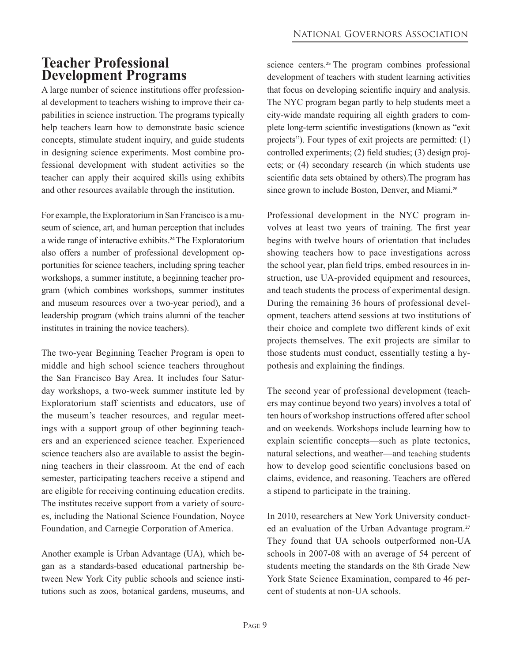### **Teacher Professional Development Programs**

A large number of science institutions offer professional development to teachers wishing to improve their capabilities in science instruction. The programs typically help teachers learn how to demonstrate basic science concepts, stimulate student inquiry, and guide students in designing science experiments. Most combine professional development with student activities so the teacher can apply their acquired skills using exhibits and other resources available through the institution.

For example, the Exploratorium in San Francisco is a museum of science, art, and human perception that includes a wide range of interactive exhibits.24 The Exploratorium also offers a number of professional development opportunities for science teachers, including spring teacher workshops, a summer institute, a beginning teacher program (which combines workshops, summer institutes and museum resources over a two-year period), and a leadership program (which trains alumni of the teacher institutes in training the novice teachers).

The two-year Beginning Teacher Program is open to middle and high school science teachers throughout the San Francisco Bay Area. It includes four Saturday workshops, a two-week summer institute led by Exploratorium staff scientists and educators, use of the museum's teacher resources, and regular meetings with a support group of other beginning teachers and an experienced science teacher. Experienced science teachers also are available to assist the beginning teachers in their classroom. At the end of each semester, participating teachers receive a stipend and are eligible for receiving continuing education credits. The institutes receive support from a variety of sources, including the National Science Foundation, Noyce Foundation, and Carnegie Corporation of America.

Another example is Urban Advantage (UA), which began as a standards-based educational partnership between New York City public schools and science institutions such as zoos, botanical gardens, museums, and

science centers.<sup>25</sup> The program combines professional development of teachers with student learning activities that focus on developing scientific inquiry and analysis. The NYC program began partly to help students meet a city-wide mandate requiring all eighth graders to complete long-term scientific investigations (known as "exit projects"). Four types of exit projects are permitted: (1) controlled experiments; (2) field studies; (3) design projects; or (4) secondary research (in which students use scientific data sets obtained by others).The program has since grown to include Boston, Denver, and Miami.<sup>26</sup>

Professional development in the NYC program involves at least two years of training. The first year begins with twelve hours of orientation that includes showing teachers how to pace investigations across the school year, plan field trips, embed resources in instruction, use UA-provided equipment and resources, and teach students the process of experimental design. During the remaining 36 hours of professional development, teachers attend sessions at two institutions of their choice and complete two different kinds of exit projects themselves. The exit projects are similar to those students must conduct, essentially testing a hypothesis and explaining the findings.

The second year of professional development (teachers may continue beyond two years) involves a total of ten hours of workshop instructions offered after school and on weekends. Workshops include learning how to explain scientific concepts—such as plate tectonics, natural selections, and weather—and teaching students how to develop good scientific conclusions based on claims, evidence, and reasoning. Teachers are offered a stipend to participate in the training.

In 2010, researchers at New York University conducted an evaluation of the Urban Advantage program.<sup>27</sup> They found that UA schools outperformed non-UA schools in 2007-08 with an average of 54 percent of students meeting the standards on the 8th Grade New York State Science Examination, compared to 46 percent of students at non-UA schools.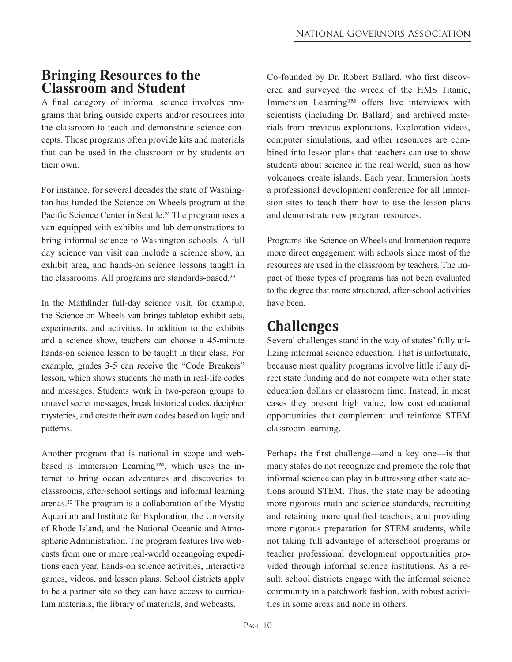#### **Bringing Resources to the Classroom and Student**

A final category of informal science involves programs that bring outside experts and/or resources into the classroom to teach and demonstrate science concepts. Those programs often provide kits and materials that can be used in the classroom or by students on their own.

For instance, for several decades the state of Washington has funded the Science on Wheels program at the Pacific Science Center in Seattle.<sup>28</sup> The program uses a van equipped with exhibits and lab demonstrations to bring informal science to Washington schools. A full day science van visit can include a science show, an exhibit area, and hands-on science lessons taught in the classrooms. All programs are standards-based.<sup>29</sup>

In the Mathfinder full-day science visit, for example, the Science on Wheels van brings tabletop exhibit sets, experiments, and activities. In addition to the exhibits and a science show, teachers can choose a 45-minute hands-on science lesson to be taught in their class. For example, grades 3-5 can receive the "Code Breakers" lesson, which shows students the math in real-life codes and messages. Students work in two-person groups to unravel secret messages, break historical codes, decipher mysteries, and create their own codes based on logic and patterns.

Another program that is national in scope and webbased is Immersion Learning™, which uses the internet to bring ocean adventures and discoveries to classrooms, after-school settings and informal learning arenas.30 The program is a collaboration of the Mystic Aquarium and Institute for Exploration, the University of Rhode Island, and the National Oceanic and Atmospheric Administration. The program features live webcasts from one or more real-world oceangoing expeditions each year, hands-on science activities, interactive games, videos, and lesson plans. School districts apply to be a partner site so they can have access to curriculum materials, the library of materials, and webcasts.

Co-founded by Dr. Robert Ballard, who first discovered and surveyed the wreck of the HMS Titanic, Immersion Learning™ offers live interviews with scientists (including Dr. Ballard) and archived materials from previous explorations. Exploration videos, computer simulations, and other resources are combined into lesson plans that teachers can use to show students about science in the real world, such as how volcanoes create islands. Each year, Immersion hosts a professional development conference for all Immersion sites to teach them how to use the lesson plans and demonstrate new program resources.

Programs like Science on Wheels and Immersion require more direct engagement with schools since most of the resources are used in the classroom by teachers. The impact of those types of programs has not been evaluated to the degree that more structured, after-school activities have been.

### **Challenges**

Several challenges stand in the way of states' fully utilizing informal science education. That is unfortunate, because most quality programs involve little if any direct state funding and do not compete with other state education dollars or classroom time. Instead, in most cases they present high value, low cost educational opportunities that complement and reinforce STEM classroom learning.

Perhaps the first challenge—and a key one—is that many states do not recognize and promote the role that informal science can play in buttressing other state actions around STEM. Thus, the state may be adopting more rigorous math and science standards, recruiting and retaining more qualified teachers, and providing more rigorous preparation for STEM students, while not taking full advantage of afterschool programs or teacher professional development opportunities provided through informal science institutions. As a result, school districts engage with the informal science community in a patchwork fashion, with robust activities in some areas and none in others.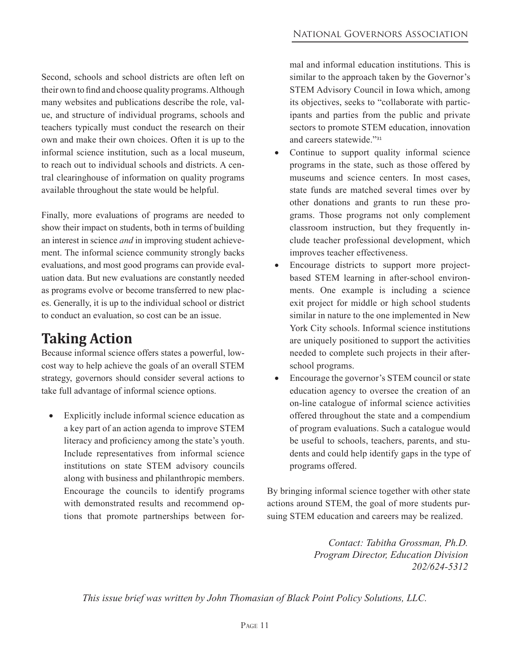Second, schools and school districts are often left on their own to find and choose quality programs. Although many websites and publications describe the role, value, and structure of individual programs, schools and teachers typically must conduct the research on their own and make their own choices. Often it is up to the informal science institution, such as a local museum, to reach out to individual schools and districts. A central clearinghouse of information on quality programs available throughout the state would be helpful.

Finally, more evaluations of programs are needed to show their impact on students, both in terms of building an interest in science *and* in improving student achievement. The informal science community strongly backs evaluations, and most good programs can provide evaluation data. But new evaluations are constantly needed as programs evolve or become transferred to new places. Generally, it is up to the individual school or district to conduct an evaluation, so cost can be an issue.

### **Taking Action**

Because informal science offers states a powerful, lowcost way to help achieve the goals of an overall STEM strategy, governors should consider several actions to take full advantage of informal science options.

• Explicitly include informal science education as a key part of an action agenda to improve STEM literacy and proficiency among the state's youth. Include representatives from informal science institutions on state STEM advisory councils along with business and philanthropic members. Encourage the councils to identify programs with demonstrated results and recommend options that promote partnerships between formal and informal education institutions. This is similar to the approach taken by the Governor's STEM Advisory Council in Iowa which, among its objectives, seeks to "collaborate with participants and parties from the public and private sectors to promote STEM education, innovation and careers statewide."<sup>31</sup>

- Continue to support quality informal science programs in the state, such as those offered by museums and science centers. In most cases, state funds are matched several times over by other donations and grants to run these programs. Those programs not only complement classroom instruction, but they frequently include teacher professional development, which improves teacher effectiveness.
- Encourage districts to support more projectbased STEM learning in after-school environments. One example is including a science exit project for middle or high school students similar in nature to the one implemented in New York City schools. Informal science institutions are uniquely positioned to support the activities needed to complete such projects in their afterschool programs.
- Encourage the governor's STEM council or state education agency to oversee the creation of an on-line catalogue of informal science activities offered throughout the state and a compendium of program evaluations. Such a catalogue would be useful to schools, teachers, parents, and students and could help identify gaps in the type of programs offered.

By bringing informal science together with other state actions around STEM, the goal of more students pursuing STEM education and careers may be realized.

> *Contact: Tabitha Grossman, Ph.D. Program Director, Education Division 202/624-5312*

*This issue brief was written by John Thomasian of Black Point Policy Solutions, LLC.*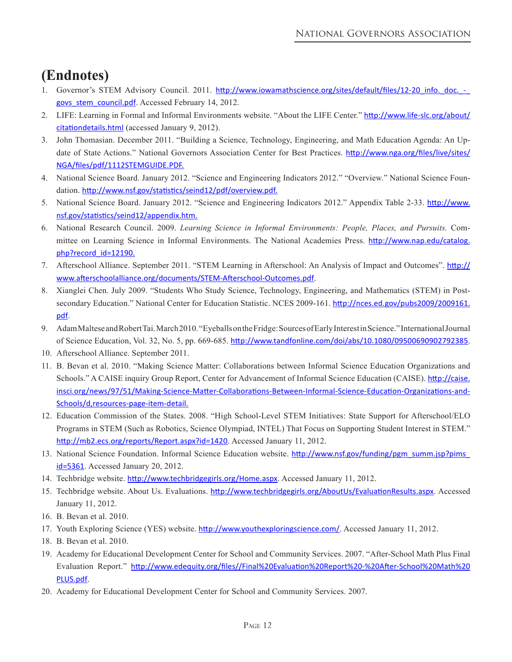# **(Endnotes)**

- 1. Governor's STEM Advisory Council. 2011. http://www.iowamathscience.org/sites/default/files/12-20\_info.\_doc.\_govs stem council.pdf. Accessed February 14, 2012.
- 2. LIFE: Learning in Formal and Informal Environments website. "About the LIFE Center." http://www.life-slc.org/about/ citationdetails.html (accessed January 9, 2012).
- 3. John Thomasian. December 2011. "Building a Science, Technology, Engineering, and Math Education Agenda: An Update of State Actions." National Governors Association Center for Best Practices. http://www.nga.org/files/live/sites/ NGA/files/pdf/1112STEMGUIDE.PDF.
- 4. National Science Board. January 2012. "Science and Engineering Indicators 2012." "Overview." National Science Foundation. http://www.nsf.gov/statistics/seind12/pdf/overview.pdf.
- 5. National Science Board. January 2012. "Science and Engineering Indicators 2012." Appendix Table 2-33. http://www. nsf.gov/statistics/seind12/appendix.htm.
- 6. National Research Council. 2009. *Learning Science in Informal Environments: People, Places, and Pursuits.* Committee on Learning Science in Informal Environments. The National Academies Press. http://www.nap.edu/catalog. php?record\_id=12190.
- 7. Afterschool Alliance. September 2011. "STEM Learning in Afterschool: An Analysis of Impact and Outcomes". http:// www.afterschoolalliance.org/documents/STEM-Afterschool-Outcomes.pdf.
- 8. Xianglei Chen. July 2009. "Students Who Study Science, Technology, Engineering, and Mathematics (STEM) in Postsecondary Education." National Center for Education Statistic. NCES 2009-161. http://nces.ed.gov/pubs2009/2009161. pdf.
- 9. Adam Maltese and Robert Tai. March 2010. "Eyeballs on the Fridge: Sources of Early Interest in Science." International Journal of Science Education, Vol. 32, No. 5, pp. 669-685. http://www.tandfonline.com/doi/abs/10.1080/09500690902792385.
- 10. Afterschool Alliance. September 2011.
- 11. B. Bevan et al. 2010. "Making Science Matter: Collaborations between Informal Science Education Organizations and Schools." A CAISE inquiry Group Report, Center for Advancement of Informal Science Education (CAISE). http://caise. insci.org/news/97/51/Making-Science-Matter-Collaborations-Between-Informal-Science-Education-Organizations-and-Schools/d,resources-page-item-detail.
- 12. Education Commission of the States. 2008. "High School-Level STEM Initiatives: State Support for Afterschool/ELO Programs in STEM (Such as Robotics, Science Olympiad, INTEL) That Focus on Supporting Student Interest in STEM." http://mb2.ecs.org/reports/Report.aspx?id=1420. Accessed January 11, 2012.
- 13. National Science Foundation. Informal Science Education website. http://www.nsf.gov/funding/pgm\_summ.jsp?pims\_ id=5361. Accessed January 20, 2012.
- 14. Techbridge website. http://www.techbridgegirls.org/Home.aspx. Accessed January 11, 2012.
- 15. Techbridge website. About Us. Evaluations. http://www.techbridgegirls.org/AboutUs/EvaluationResults.aspx. Accessed January 11, 2012.
- 16. B. Bevan et al. 2010.
- 17. Youth Exploring Science (YES) website. http://www.youthexploringscience.com/. Accessed January 11, 2012.
- 18. B. Bevan et al. 2010.
- 19. Academy for Educational Development Center for School and Community Services. 2007. "After-School Math Plus Final Evaluation Report." http://www.edequity.org/files//Final%20Evaluation%20Report%20-%20After-School%20Math%20 PLUS.pdf.
- 20. Academy for Educational Development Center for School and Community Services. 2007.